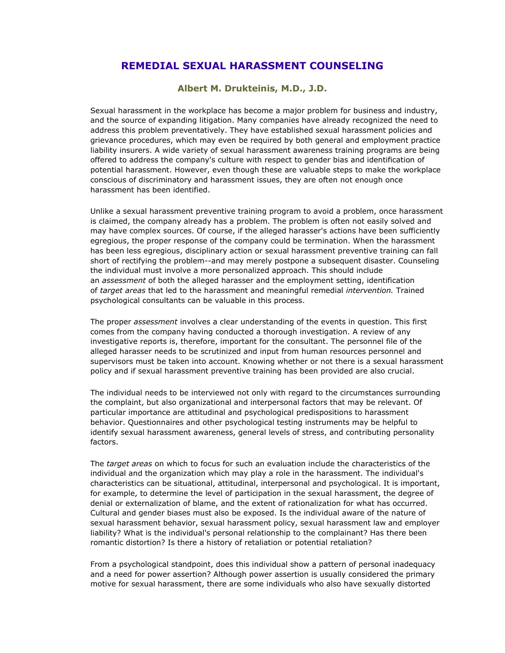## **REMEDIAL SEXUAL HARASSMENT COUNSELING**

## **Albert M. Drukteinis, M.D., J.D.**

Sexual harassment in the workplace has become a major problem for business and industry, and the source of expanding litigation. Many companies have already recognized the need to address this problem preventatively. They have established sexual harassment policies and grievance procedures, which may even be required by both general and employment practice liability insurers. A wide variety of sexual harassment awareness training programs are being offered to address the company's culture with respect to gender bias and identification of potential harassment. However, even though these are valuable steps to make the workplace conscious of discriminatory and harassment issues, they are often not enough once harassment has been identified.

Unlike a sexual harassment preventive training program to avoid a problem, once harassment is claimed, the company already has a problem. The problem is often not easily solved and may have complex sources. Of course, if the alleged harasser's actions have been sufficiently egregious, the proper response of the company could be termination. When the harassment has been less egregious, disciplinary action or sexual harassment preventive training can fall short of rectifying the problem--and may merely postpone a subsequent disaster. Counseling the individual must involve a more personalized approach. This should include an *assessment* of both the alleged harasser and the employment setting, identification of *target areas* that led to the harassment and meaningful remedial *intervention.* Trained psychological consultants can be valuable in this process.

The proper *assessment* involves a clear understanding of the events in question. This first comes from the company having conducted a thorough investigation. A review of any investigative reports is, therefore, important for the consultant. The personnel file of the alleged harasser needs to be scrutinized and input from human resources personnel and supervisors must be taken into account. Knowing whether or not there is a sexual harassment policy and if sexual harassment preventive training has been provided are also crucial.

The individual needs to be interviewed not only with regard to the circumstances surrounding the complaint, but also organizational and interpersonal factors that may be relevant. Of particular importance are attitudinal and psychological predispositions to harassment behavior. Questionnaires and other psychological testing instruments may be helpful to identify sexual harassment awareness, general levels of stress, and contributing personality factors.

The *target areas* on which to focus for such an evaluation include the characteristics of the individual and the organization which may play a role in the harassment. The individual's characteristics can be situational, attitudinal, interpersonal and psychological. It is important, for example, to determine the level of participation in the sexual harassment, the degree of denial or externalization of blame, and the extent of rationalization for what has occurred. Cultural and gender biases must also be exposed. Is the individual aware of the nature of sexual harassment behavior, sexual harassment policy, sexual harassment law and employer liability? What is the individual's personal relationship to the complainant? Has there been romantic distortion? Is there a history of retaliation or potential retaliation?

From a psychological standpoint, does this individual show a pattern of personal inadequacy and a need for power assertion? Although power assertion is usually considered the primary motive for sexual harassment, there are some individuals who also have sexually distorted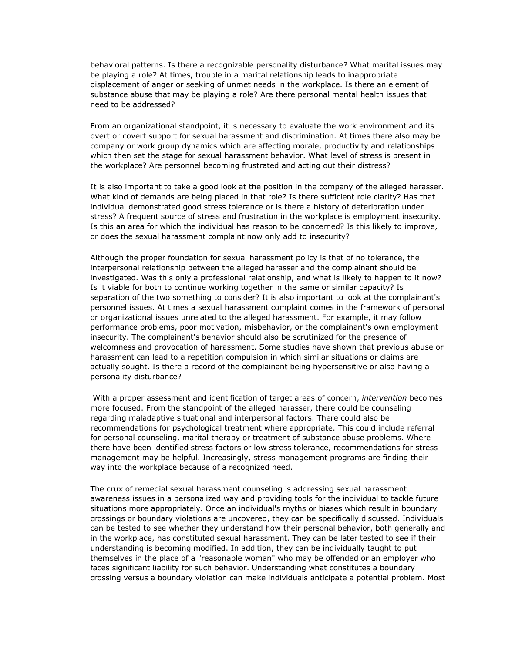behavioral patterns. Is there a recognizable personality disturbance? What marital issues may be playing a role? At times, trouble in a marital relationship leads to inappropriate displacement of anger or seeking of unmet needs in the workplace. Is there an element of substance abuse that may be playing a role? Are there personal mental health issues that need to be addressed?

From an organizational standpoint, it is necessary to evaluate the work environment and its overt or covert support for sexual harassment and discrimination. At times there also may be company or work group dynamics which are affecting morale, productivity and relationships which then set the stage for sexual harassment behavior. What level of stress is present in the workplace? Are personnel becoming frustrated and acting out their distress?

It is also important to take a good look at the position in the company of the alleged harasser. What kind of demands are being placed in that role? Is there sufficient role clarity? Has that individual demonstrated good stress tolerance or is there a history of deterioration under stress? A frequent source of stress and frustration in the workplace is employment insecurity. Is this an area for which the individual has reason to be concerned? Is this likely to improve, or does the sexual harassment complaint now only add to insecurity?

Although the proper foundation for sexual harassment policy is that of no tolerance, the interpersonal relationship between the alleged harasser and the complainant should be investigated. Was this only a professional relationship, and what is likely to happen to it now? Is it viable for both to continue working together in the same or similar capacity? Is separation of the two something to consider? It is also important to look at the complainant's personnel issues. At times a sexual harassment complaint comes in the framework of personal or organizational issues unrelated to the alleged harassment. For example, it may follow performance problems, poor motivation, misbehavior, or the complainant's own employment insecurity. The complainant's behavior should also be scrutinized for the presence of welcomness and provocation of harassment. Some studies have shown that previous abuse or harassment can lead to a repetition compulsion in which similar situations or claims are actually sought. Is there a record of the complainant being hypersensitive or also having a personality disturbance?

With a proper assessment and identification of target areas of concern, *intervention* becomes more focused. From the standpoint of the alleged harasser, there could be counseling regarding maladaptive situational and interpersonal factors. There could also be recommendations for psychological treatment where appropriate. This could include referral for personal counseling, marital therapy or treatment of substance abuse problems. Where there have been identified stress factors or low stress tolerance, recommendations for stress management may be helpful. Increasingly, stress management programs are finding their way into the workplace because of a recognized need.

The crux of remedial sexual harassment counseling is addressing sexual harassment awareness issues in a personalized way and providing tools for the individual to tackle future situations more appropriately. Once an individual's myths or biases which result in boundary crossings or boundary violations are uncovered, they can be specifically discussed. Individuals can be tested to see whether they understand how their personal behavior, both generally and in the workplace, has constituted sexual harassment. They can be later tested to see if their understanding is becoming modified. In addition, they can be individually taught to put themselves in the place of a "reasonable woman" who may be offended or an employer who faces significant liability for such behavior. Understanding what constitutes a boundary crossing versus a boundary violation can make individuals anticipate a potential problem. Most